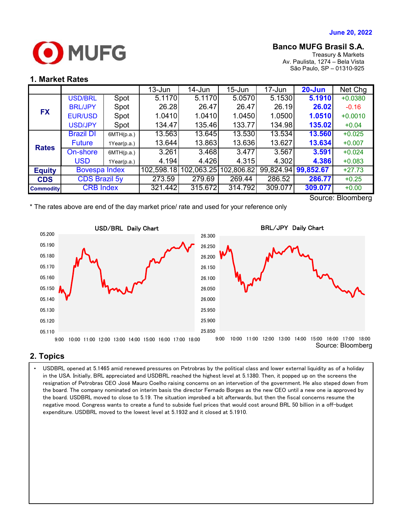

# **Banco MUFG Brasil S.A.**

Treasury & Markets Av. Paulista, 1274 – Bela Vista São Paulo, SP – 01310-925

### **1. Market Rates**

|                  |                      |             | $13 - Jun$ | 14-Jun     | $15 - Jun$ | 17-Jun  | $20 - Jun$          | Net Chg   |
|------------------|----------------------|-------------|------------|------------|------------|---------|---------------------|-----------|
| <b>FX</b>        | <b>USD/BRL</b>       | Spot        | 5.1170     | 5.1170     | 5.0570     | 5.1530  | 5.1910              | $+0.0380$ |
|                  | <b>BRL/JPY</b>       | Spot        | 26.28      | 26.47      | 26.47      | 26.19   | 26.02               | $-0.16$   |
|                  | <b>EUR/USD</b>       | Spot        | 1.0410     | 1.0410     | 1.0450     | 1.0500  | 1.0510              | $+0.0010$ |
|                  | <b>USD/JPY</b>       | Spot        | 134.47     | 135.46     | 133.77     | 134.98  | 135.02              | $+0.04$   |
| <b>Rates</b>     | <b>Brazil DI</b>     | 6MTH(p.a.)  | 13.563     | 13.645     | 13.530     | 13.534  | 13.560              | $+0.025$  |
|                  | <b>Future</b>        | 1Year(p.a.) | 13.644     | 13.863     | 13.636     | 13.627  | 13.634              | $+0.007$  |
|                  | On-shore             | 6MTH(p.a.)  | 3.261      | 3.468      | 3.477      | 3.567   | 3.591               | $+0.024$  |
|                  | <b>USD</b>           | 1Year(p.a.) | 4.194      | 4.426      | 4.315      | 4.302   | 4.386               | $+0.083$  |
| <b>Equity</b>    | <b>Bovespa Index</b> |             | 102,598.18 | 102,063.25 | 102,806.82 |         | 99,824.94 99,852.67 | $+27.73$  |
| <b>CDS</b>       | <b>CDS Brazil 5y</b> |             | 273.59     | 279.69     | 269.44     | 286.52  | 286.77              | $+0.25$   |
| <b>Commodity</b> | <b>CRB Index</b>     |             | 321.442    | 315.672    | 314.792    | 309.077 | 309.077             | $+0.00$   |

Source: Bloomberg





# **2. Topics**

 the board. The company nominated on interim basis the director Fernado Borges as the new CEO until a new one ia approved by • USDBRL opened at 5.1465 amid renewed pressures on Petrobras by the political class and lower external liquidity as of a holiday in the USA. Initially, BRL appreciated and USDBRL reached the highest level at 5.1380. Then, it popped up on the screens the resignation of Petrobras CEO José Mauro Coelho raising concerns on an intervetion of the government. He also steped down from the board. USDBRL moved to close to 5.19. The situation improbed a bit afterwards, but then the fiscal concerns resume the negative mood. Congress wants to create a fund to subside fuel prices that would cost around BRL 50 billion in a off-budget expenditure. USDBRL moved to the lowest level at 5.1932 and it closed at 5.1910.